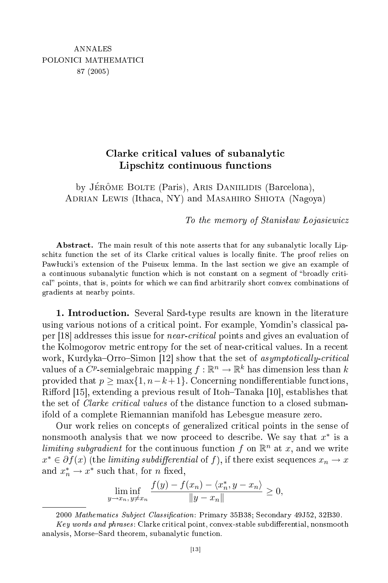## Clarke critical values of subanalytic Lipschitz continuous functions

by JÉRÔME BOLTE (Paris), ARIS DANIILIDIS (Barcelona), ADRIAN LEWIS (Ithaca, NY) and MASAHIRO SHIOTA (Nagoya)

the memory of Stanislav of Stanislav of Stanislav of Stanislav of Stanislav of Stanislav of Stanislav of Stanislav of Stanislav of Stanislav of Stanislav of Stanislav of Stanislav of Stanislav of Stanislav of Stanislav of

Abstract. The main result of this note asserts that for any subanalytic locally Lipschitz function the set of its Clarke critical values is locally finite. The proof relies on Pawłucki's extension of the Puiseux lemma. In the last section we give an example of a continuous subanalytic function which is not constant on a segment of "broadly critical" points, that is, points for which we can find arbitrarily short convex combinations of gradients at nearby points.

1. Introduction. Several Sard-type results are known in the literature using various notions of a critical point. For example, Yomdin's classical paper [18] addresses this issue for *near-critical* points and gives an evaluation of the Kolmogorov metric entropy for the set of near-critical values. In a recent work, Kurdyka–Orro–Simon [12] show that the set of *asymptotically-critical* values of a  $C^p$ -semialgebraic mapping  $f: \mathbb{R}^n \to \mathbb{R}^k$  has dimension less than  $k$ provided that  $p \ge \max\{1, n-k+1\}$ . Concerning nondifferentiable functions, Rifford [15], extending a previous result of Itoh-Tanaka [10], establishes that the set of *Clarke critical values* of the distance function to a closed submanifold of a omplete Riemannian manifold has Lebesgue measure zero.

Our work relies on concepts of generalized critical points in the sense of nonsmooth analysis that we now proceed to describe. We say that  $x^*$  is a limiting subgradient for the continuous function f on  $\mathbb{R}^n$  at x, and we write  $x^* \in \partial f(x)$  (the limiting subdifferential of f), if there exist sequences  $x_n \to x$ and  $x_n^* \to x^*$  such that, for *n* fixed,

$$
\liminf_{y \to x_n, y \neq x_n} \frac{f(y) - f(x_n) - \langle x_n^*, y - x_n \rangle}{\|y - x_n\|} \ge 0,
$$

<sup>2000</sup> Mathematics Subject Classification: Primary 35B38; Secondary 49J52, 32B30.

 $Key words and phrases: Clarke critical point, convex-stable subdifferential, nonsmooth$ analysis, Morse–Sard theorem, subanalytic function.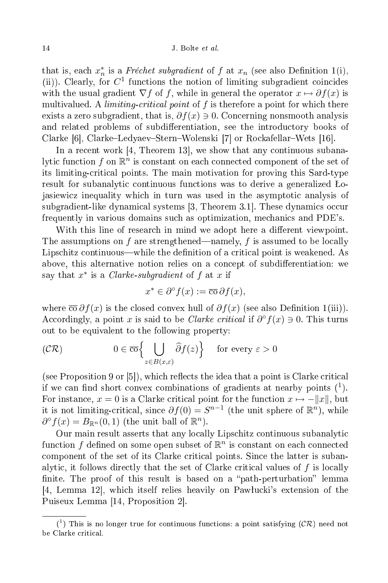that is, each  $x_n^*$  is a *Fréchet subgradient* of f at  $x_n$  (see also Definition 1(i), (ii)). Clearly, for  $C^1$  functions the notion of limiting subgradient coincides with the usual gradient  $\nabla f$  of f, while in general the operator  $x \mapsto \partial f(x)$  is multivalued. A *limiting-critical point* of  $f$  is therefore a point for which there exists a zero subgradient, that is,  $\partial f(x) \ni 0$ . Concerning nonsmooth analysis and related problems of subdifferentiation, see the introductory books of Clarke [6], Clarke–Ledyaev–Stern–Wolenski [7] or Rockafellar–Wets [16].

In a recent work  $[4,$  Theorem 13, we show that any continuous subanalytic function  $f$  on  $\mathbb{R}^n$  is constant on each connected component of the set of its limitingriti
al points. The main motivation for proving this Sard-type result for subanalytic continuous functions was to derive a generalized Lojasiewi
z inequality whi
h in turn was used in the asymptoti analysis of subgradient-like dynamical systems [3, Theorem 3.1]. These dynamics occur frequently in various domains su
h as optimization, me
hani
s and PDE's.

With this line of research in mind we adopt here a different viewpoint. The assumptions on f are strengthened—namely, f is assumed to be locally Lipschitz continuous—while the definition of a critical point is weakened. As above, this alternative notion relies on a concept of subdifferentiation: we say that  $x^*$  is a *Clarke-subgradient* of  $f$  at  $x$  if

$$
x^* \in \partial^{\circ} f(x) := \overline{\operatorname{co}} \, \partial f(x),
$$

where  $\overline{\text{co}} \partial f(x)$  is the closed convex hull of  $\partial f(x)$  (see also Definition 1(iii)). Accordingly, a point x is said to be *Clarke critical* if  $\partial^{\circ} f(x) \ni 0$ . This turns out to be equivalent to the following property:

$$
(\mathcal{CR}) \qquad \qquad 0 \in \overline{\text{co}}\Big\{\bigcup_{z \in B(x,\varepsilon)} \widehat{\partial} f(z)\Big\} \quad \text{ for every } \varepsilon > 0
$$

 $($ see Proposition 9 or  $[5]$ ), which reflects the idea that a point is Clarke critical if we can find short convex combinations of gradients at nearby points  $(1)$ . For instance,  $x = 0$  is a Clarke critical point for the function  $x \mapsto -||x||$ , but it is not limiting-critical, since  $\partial f(0) = S^{n-1}$  (the unit sphere of  $\mathbb{R}^n$ ), while  $\partial^{\circ} f(x) = B_{\mathbb{R}^n}(0,1)$  (the unit ball of  $\mathbb{R}^n$ ).

Our main result asserts that any locally Lipschitz continuous subanalytic function  $f$  defined on some open subset of  $\mathbb{R}^n$  is constant on each connected component of the set of its Clarke critical points. Since the latter is subanalytic, it follows directly that the set of Clarke critical values of f is locally finite. The proof of this result is based on a "path-perturbation" lemma  $[4, \text{ Lemma } 12]$ , which itself relies heavily on Pawlucki's extension of the Puiseux Lemma [14, Proposition 2].

 $(1)$  This is no longer true for continuous functions: a point satisfying  $(C\mathcal{R})$  need not be Clarke critical.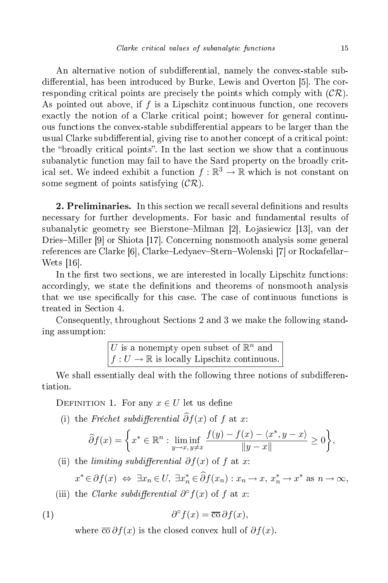An alternative notion of subdifferential, namely the convex-stable subdifferential, has been introduced by Burke, Lewis and Overton [5]. The corresponding critical points are precisely the points which comply with  $(C\mathcal{R})$ . As pointed out above, if  $f$  is a Lipschitz continuous function, one recovers exactly the notion of a Clarke critical point; however for general continuous functions the convex-stable subdifferential appears to be larger than the usual Clarke subdifferential, giving rise to another concept of a critical point: the "broadly critical points". In the last section we show that a continuous subanalytic function may fail to have the Sard property on the broadly critical set. We indeed exhibit a function  $f : \mathbb{R}^3 \to \mathbb{R}$  which is not constant on some segment of points satisfying  $(\mathcal{CR})$ .

2. Preliminaries. In this section we recall several definitions and results ne
essary for further developments. For basi and fundamental results of subanalytic geometry see Bierstone–Milman  $[2]$ , Lojasiewicz  $[13]$ , van der Dries–Miller  $[9]$  or Shiota [17]. Concerning nonsmooth analysis some general references are Clarke [6], Clarke–Ledyaev–Stern–Wolenski [7] or Rockafellar– Wets  $[16]$ .

In the first two sections, we are interested in locally Lipschitz functions: accordingly, we state the definitions and theorems of nonsmooth analysis that we use specifically for this case. The case of continuous functions is treated in Se
tion 4.

Consequently, throughout Sections 2 and 3 we make the following standing assumption:

U is a nonempty open subset of  $\mathbb{R}^n$  and  $f: U \to \mathbb{R}$  is locally Lipschitz continuous.

We shall essentially deal with the following three notions of subdifferentiation.

DEFINITION 1. For any  $x \in U$  let us define

(i) the Fréchet subdifferential  $\hat{\partial} f(x)$  of f at x:

$$
\widehat{\partial} f(x) = \left\{ x^* \in \mathbb{R}^n : \liminf_{y \to x, y \neq x} \frac{f(y) - f(x) - \langle x^*, y - x \rangle}{\|y - x\|} \ge 0 \right\},\
$$

(ii) the *limiting subdifferential*  $\partial f(x)$  of f at x:

 $x^* \in \partial f(x) \iff \exists x_n \in U, \ \exists x_n^* \in \widehat{\partial} f(x_n) : x_n \to x, \ x_n^* \to x^* \text{ as } n \to \infty,$ 

(iii) the Clarke subdifferential  $\partial^{\circ} f(x)$  of f at x:

(1) 
$$
\partial^{\circ} f(x) = \overline{\cos} \partial f(x),
$$

where  $\overline{\text{co}} \partial f(x)$  is the closed convex hull of  $\partial f(x)$ .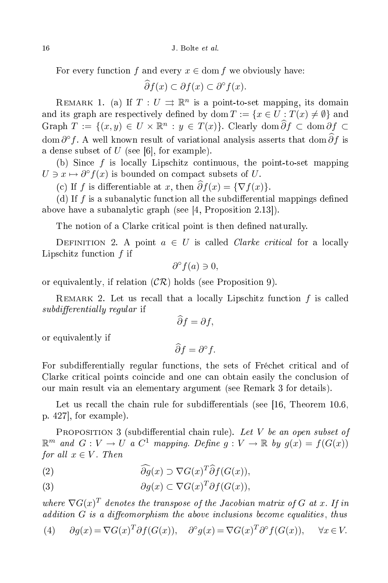For every function f and every  $x \in \text{dom } f$  we obviously have:

 $\widehat{\partial} f(x) \subset \partial f(x) \subset \partial^{\circ} f(x).$ 

REMARK 1. (a) If  $T: U \rightrightarrows \mathbb{R}^n$  is a point-to-set mapping, its domain and its graph are respectively defined by dom  $T := \{x \in U : T(x) \neq \emptyset\}$  and Graph  $T := \{(x, y) \in U \times \mathbb{R}^n : y \in T(x)\}\)$ . Clearly dom  $\partial f \subset \text{dom } \partial f \subset$ dom  $\partial^{\circ} f$ . A well known result of variational analysis asserts that dom  $\partial f$  is a dense subset of  $U$  (see [6], for example).

(b) Since  $f$  is locally Lipschitz continuous, the point-to-set mapping  $U \ni x \mapsto \partial^{\circ} f(x)$  is bounded on compact subsets of U.

(c) If f is differentiable at x, then  $\hat{\partial}f(x) = {\nabla f(x)}$ .

(d) If  $f$  is a subanalytic function all the subdifferential mappings defined above have a subanalytic graph (see [4, Proposition 2.13]).

The notion of a Clarke critical point is then defined naturally.

DEFINITION 2. A point  $a \in U$  is called *Clarke critical* for a locally Lipschitz function  $f$  if

$$
\partial^{\circ} f(a) \ni 0,
$$

or equivalently, if relation  $(CR)$  holds (see Proposition 9).

REMARK 2. Let us recall that a locally Lipschitz function  $f$  is called subdierential ly regular if

$$
\partial f = \partial f,
$$

or equivalently if

 $\widehat{\partial} f = \partial^{\circ} f.$ 

For subdifferentially regular functions, the sets of Fréchet critical and of Clarke critical points coincide and one can obtain easily the conclusion of our main result via an elementary argument (see Remark 3 for details).

Let us recall the chain rule for subdifferentials (see  $[16,$  Theorem 10.6, p.  $427$ , for example).

PROPOSITION 3 (subdifferential chain rule). Let V be an open subset of  $\mathbb{R}^m$  and  $G: V \to U$  a  $C^1$  mapping. Define  $g: V \to \mathbb{R}$  by  $g(x) = f(G(x))$ for all  $x \in V$ . Then

(2)  $\widehat{\partial g}(x) \supset \nabla G(x)^T \widehat{\partial} f(G(x)),$ 

(3) 
$$
\partial g(x) \subset \nabla G(x)^T \partial f(G(x)),
$$

where  $\nabla G(x)^T$  denotes the transpose of the Jacobian matrix of G at x. If in  $addition\ G\ is\ a\ diffeomorphism\ the\ above\ inclusions\ become\ equalities,\ thus$ 

(4) 
$$
\partial g(x) = \nabla G(x)^T \partial f(G(x)), \quad \partial^{\circ} g(x) = \nabla G(x)^T \partial^{\circ} f(G(x)), \quad \forall x \in V.
$$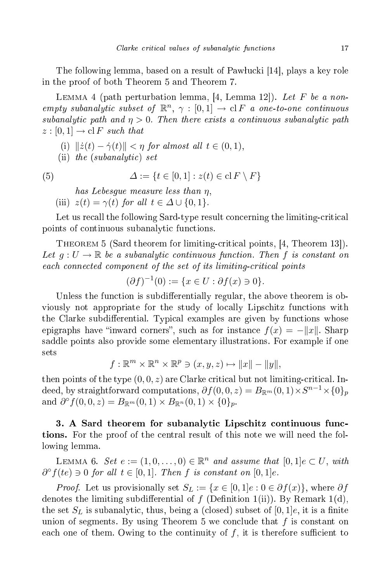The following lemma, based on a result of Pawłucki [14], plays a key role in the proof of both Theorem 5 and Theorem 7. in the proof of both Theorem 5 and Theorem 7.

LEMMA 4 (path perturbation lemma, [4, Lemma 12]). Let F be a nonempty subanalytic subset of  $\mathbb{R}^n$ ,  $\gamma : [0,1] \to \text{cl } F$  a one-to-one continuous subanalytic path and  $\eta > 0$ . Then there exists a continuous subanalytic path  $z:[0,1] \to \mathrm{cl}\, F$  such that

- (i)  $\|\dot{z}(t) \dot{\gamma}(t)\| < \eta$  for almost all  $t \in (0, 1)$ ,
- (ii) the (subanalyti
) set

(5) 
$$
\Delta := \{ t \in [0,1] : z(t) \in \text{cl } F \setminus F \}
$$

has Lebesgue measure less than η,

(iii)  $z(t) = \gamma(t)$  for all  $t \in \Delta \cup \{0, 1\}.$ 

Let us recall the following Sard-type result concerning the limiting-critical points of continuous subanalytic functions.

THEOREM 5 (Sard theorem for limiting-critical points, [4, Theorem 13]). Let  $g: U \to \mathbb{R}$  be a subanalytic continuous function. Then f is constant on each and the set of its limiting-ted set of its limiting-ted set of its limiting-ted set of its limiting-ted s

$$
(\partial f)^{-1}(0) := \{ x \in U : \partial f(x) \ni 0 \}.
$$

Unless the function is subdifferentially regular, the above theorem is obviously not appropriate for the study of lo
ally Lips
hitz fun
tions with the Clarke subdifferential. Typical examples are given by functions whose epigraphs have "inward corners", such as for instance  $f(x) = -||x||$ . Sharp saddle points also provide some elementary illustrations. For example if one sets

$$
f: \mathbb{R}^m \times \mathbb{R}^n \times \mathbb{R}^p \ni (x, y, z) \mapsto ||x|| - ||y||,
$$

then points of the type  $(0, 0, z)$  are Clarke critical but not limiting-critical. In- $\text{deed, by straightforward computations}, \, \partial f(0,0,z) = B_{\mathbb{R}^m}(0,1) \times S^{n-1} \times \{0\}_p$ and  $\partial^{\circ} f(0,0,z) = B_{\mathbb{R}^m}(0,1) \times B_{\mathbb{R}^n}(0,1) \times \{0\}_p$ .

3. A Sard theorem for subanalyti Lips
hitz ontinuous fun
 tions. For the proof of the entral result of this note we will need the following lemma.

LEMMA 6. Set  $e := (1, 0, \ldots, 0) \in \mathbb{R}^n$  and assume that  $[0, 1]e \subset U$ , with  $\partial^{\circ} f(te) \ni 0$  for all  $t \in [0,1]$ . Then f is constant on  $[0,1]e$ .

*Proof.* Let us provisionally set  $S_L := \{x \in [0,1]e : 0 \in \partial f(x)\},\$  where  $\partial f$ denotes the limiting subdifferential of f (Definition 1(ii)). By Remark 1(d), the set  $S_L$  is subanalytic, thus, being a (closed) subset of [0, 1]e, it is a finite union of segments. By using Theorem 5 we conclude that  $f$  is constant on each one of them. Owing to the continuity of  $f$ , it is therefore sufficient to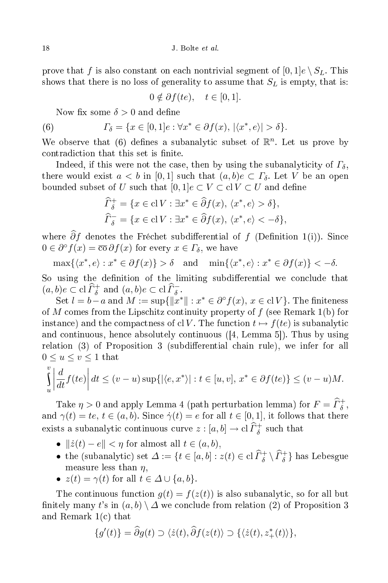prove that f is also constant on each nontrivial segment of  $[0, 1]e \setminus S_L$ . This shows that there is no loss of generality to assume that  $S_L$  is empty, that is:

$$
0 \notin \partial f(te), \quad t \in [0,1].
$$

Now fix some  $\delta > 0$  and define

(6) 
$$
\Gamma_{\delta} = \{x \in [0,1]e : \forall x^* \in \partial f(x), |\langle x^*, e \rangle| > \delta\}.
$$

We observe that (6) defines a subanalytic subset of  $\mathbb{R}^n$ . Let us prove by contradiction that this set is finite.

Indeed, if this were not the case, then by using the subanalyticity of  $\Gamma_{\delta}$ , there would exist  $a < b$  in [0,1] such that  $(a, b)e \subset \Gamma_{\delta}$ . Let V be an open bounded subset of U such that  $[0, 1]e \subset V \subset \text{cl } V \subset U$  and define

$$
\widehat{\Gamma}_{\delta}^{+} = \{ x \in \text{cl } V : \exists x^* \in \widehat{\partial} f(x), \langle x^*, e \rangle > \delta \},\
$$
  

$$
\widehat{\Gamma}_{\delta}^{-} = \{ x \in \text{cl } V : \exists x^* \in \widehat{\partial} f(x), \langle x^*, e \rangle < -\delta \},\
$$

where  $\widehat{\partial} f$  denotes the Fréchet subdifferential of f (Definition 1(i)). Since  $0 \in \partial^{\circ} f(x) = \overline{\text{co}} \, \partial f(x)$  for every  $x \in \Gamma_{\delta}$ , we have

 $\max\{\langle x^*, e \rangle : x^* \in \partial f(x)\} > \delta \text{ and } \min\{\langle x^*, e \rangle : x^* \in \partial f(x)\} < -\delta.$ 

So using the definition of the limiting subdifferential we conclude that  $(a, b)e \subset \text{cl }\widehat{\Gamma}^+_{\delta} \text{ and } (a, b)e \subset \text{cl }\widehat{\Gamma}^-_{\delta}.$ 

Set  $l = b - a$  and  $M := \sup\{\Vert x^*\Vert : x^* \in \partial^{\circ} f(x), x \in \text{cl } V\}.$  The finiteness of M omes from the Lips
hitz ontinuity property of f (see Remark 1(b) for instance) and the compactness of cl V. The function  $t \mapsto f(te)$  is subanalytic and continuous, hence absolutely continuous  $(4, \text{ Lemma } 5]$ ). Thus by using relation (3) of Proposition 3 (subdifferential chain rule), we infer for all  $0 \le u \le v \le 1$  that

$$
\int_{u}^{v} \left| \frac{d}{dt} f(te) \right| dt \le (v - u) \sup \{ |\langle e, x^* \rangle| : t \in [u, v], x^* \in \partial f(te) \} \le (v - u)M.
$$

Take  $\eta > 0$  and apply Lemma 4 (path perturbation lemma) for  $F = \widehat{\Gamma}_{\delta}^{+}$ , and  $\gamma(t) = te, t \in (a, b)$ . Since  $\dot{\gamma}(t) = e$  for all  $t \in [0, 1]$ , it follows that there exists a subanalytic continuous curve  $z : [a, b] \to \text{cl } \widehat{\Gamma}_{\delta}^+$  such that

- $\|\dot{z}(t) e\| < \eta$  for almost all  $t \in (a, b)$ ,
- the (subanalytic) set  $\Delta := \{t \in [a, b] : z(t) \in \text{cl } \widehat{\Gamma}_{\delta}^{+} \setminus \widehat{\Gamma}_{\delta}^{+}\}$  has Lebesgue measure less than  $\eta$ ,
- $z(t) = \gamma(t)$  for all  $t \in \Delta \cup \{a, b\}.$

The continuous function  $g(t) = f(z(t))$  is also subanalytic, so for all but finitely many t's in  $(a, b) \setminus \Delta$  we conclude from relation (2) of Proposition 3 and Remark 1(
) that

$$
\{g'(t)\} = \widehat{\partial}g(t) \supset \langle \dot{z}(t), \widehat{\partial}f(z(t)) \supset \{ \langle \dot{z}(t), z^*_+(t) \rangle \},\
$$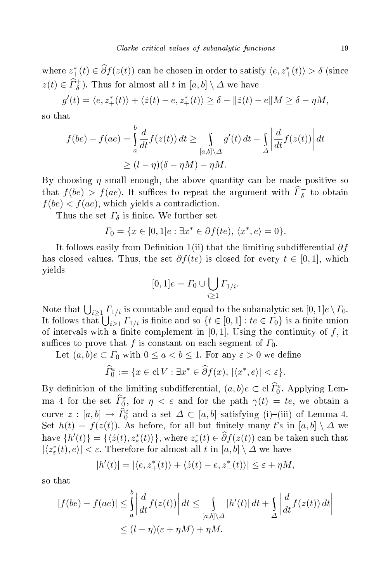where  $z^*_+(t) \in \partial f(z(t))$  can be chosen in order to satisfy  $\langle e, z^*_+(t) \rangle > \delta$  (since  $z(t) \in \widehat{\Gamma}_{\delta}^{+}$ ). Thus for almost all t in  $[a, b] \setminus \Delta$  we have

$$
g'(t) = \langle e, z_+^*(t) \rangle + \langle \dot{z}(t) - e, z_+^*(t) \rangle \ge \delta - ||\dot{z}(t) - e||M \ge \delta - \eta M,
$$

$$
f(be) - f(ae) = \int_{a}^{b} \frac{d}{dt} f(z(t)) dt \ge \int_{[a,b] \setminus \Delta} g'(t) dt - \int_{\Delta} \left| \frac{d}{dt} f(z(t)) \right| dt
$$
  
 
$$
\ge (l - \eta)(\delta - \eta M) - \eta M.
$$

By choosing  $\eta$  small enough, the above quantity can be made positive so that  $f(be) > f(ae)$ . It suffices to repeat the argument with  $\widehat{\Gamma}_{\delta}^-$  to obtain  $f(be) < f(ae)$ , which yields a contradiction.

Thus the set  $\Gamma_{\delta}$  is finite. We further set

$$
\Gamma_0 = \{ x \in [0,1]e : \exists x^* \in \partial f(te), \langle x^*, e \rangle = 0 \}.
$$

It follows easily from Definition 1(ii) that the limiting subdifferential  $\partial f$ has closed values. Thus, the set  $\partial f(te)$  is closed for every  $t \in [0,1]$ , which yields

$$
[0,1]e = \varGamma_0 \cup \bigcup_{i \ge 1} \varGamma_{1/i}.
$$

Note that  $\bigcup_{i\geq 1}\Gamma_{1/i}$  is countable and equal to the subanalytic set  $[0,1]e \setminus \Gamma_0$ . It follows that  $\overline{\bigcup_{i\geq 1}\Gamma_{1/i}}$  is finite and so  $\{t\in [0,1]: te\in\Gamma_0\}$  is a finite union of intervals with a finite complement in [0, 1]. Using the continuity of f, it suffices to prove that f is constant on each segment of  $\Gamma_0$ .

Let  $(a, b)e \subset \Gamma_0$  with  $0 \le a < b \le 1$ . For any  $\varepsilon > 0$  we define

$$
\widehat{\Gamma}_0^{\varepsilon} := \{ x \in \mathrm{cl}\, V : \exists x^* \in \widehat{\partial} f(x), \, |\langle x^*, e \rangle| < \varepsilon \}.
$$

By definition of the limiting subdifferential,  $(a, b)e \subset \text{cl } \widehat{\Gamma}_0^{\varepsilon}$ . Applying Lemma 4 for the set  $\widehat{\Gamma}^{\varepsilon}_{0}$ , for  $\eta < \varepsilon$  and for the path  $\gamma(t) = te$ , we obtain a curve  $z : [a, b] \to \tilde{I}_0^{\varepsilon}$  and a set  $\Delta \subset [a, b]$  satisfying (i)-(iii) of Lemma 4. Set  $h(t) = f(z(t))$ . As before, for all but finitely many t's in [a, b]  $\Delta$  we have  $\{h'(t)\} = \{\langle \dot{z}(t), z^*_\varepsilon(t)\rangle\}$ , where  $z^*_\varepsilon(t) \in \partial f(z(t))$  can be taken such that  $|\langle z^*_\varepsilon(t), e \rangle| < \varepsilon$ . Therefore for almost all t in  $[a, b] \setminus \Delta$  we have

$$
|h'(t)| = |\langle e, z_+^*(t) \rangle + \langle \dot{z}(t) - e, z_+^*(t) \rangle| \le \varepsilon + \eta M,
$$

so that

$$
|f(be) - f(ae)| \leq \int_{a}^{b} \left| \frac{d}{dt} f(z(t)) \right| dt \leq \int_{[a,b] \setminus \Delta} |h'(t)| dt + \int_{\Delta} \left| \frac{d}{dt} f(z(t)) dt \right|
$$
  

$$
\leq (l - \eta)(\varepsilon + \eta M) + \eta M.
$$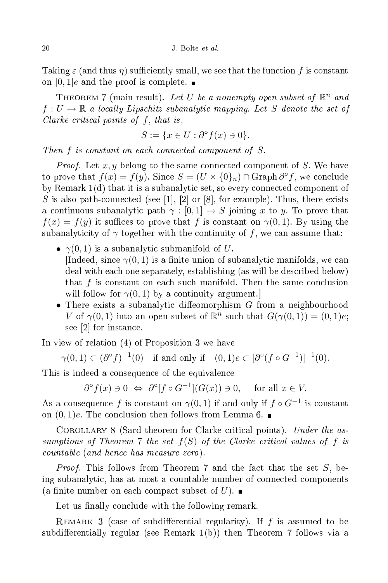Taking  $\varepsilon$  (and thus  $\eta$ ) sufficiently small, we see that the function f is constant on  $[0, 1]e$  and the proof is complete.

THEOREM 7 (main result). Let U be a nonempty open subset of  $\mathbb{R}^n$  and  $f: U \to \mathbb{R}$  a locally Lipschitz subanalytic mapping. Let S denote the set of Clarke critical points of  $f$ , that is,

$$
S := \{ x \in U : \partial^{\circ} f(x) \ni 0 \}.
$$

Then  $f$  is constant on each connected component of  $S$ .

*Proof.* Let  $x, y$  belong to the same connected component of  $S$ . We have to prove that  $f(x) = f(y)$ . Since  $S = (U \times \{0\}_n) \cap \text{Graph } \partial^{\circ} f$ , we conclude by Remark  $1(d)$  that it is a subanalytic set, so every connected component of S is also path-connected (see [1], [2] or [8], for example). Thus, there exists a continuous subanalytic path  $\gamma : [0, 1] \to S$  joining x to y. To prove that  $f(x) = f(y)$  it suffices to prove that f is constant on  $\gamma(0,1)$ . By using the subanalyticity of  $\gamma$  together with the continuity of f, we can assume that:

- $\gamma(0,1)$  is a subanalytic submanifold of U. [Indeed, since  $\gamma(0,1)$  is a finite union of subanalytic manifolds, we can deal with ea
h one separately, establishing (as will be des
ribed below) that  $f$  is constant on each such manifold. Then the same conclusion will follow for  $\gamma(0,1)$  by a continuity argument.
- There exists a subanalytic diffeomorphism  $G$  from a neighbourhood V of  $\gamma(0,1)$  into an open subset of  $\mathbb{R}^n$  such that  $G(\gamma(0,1)) = (0,1)e$ ; see  $[2]$  for instance.

In view of relation (4) of Proposition 3 we have

$$
\gamma(0,1) \subset (\partial^{\circ} f)^{-1}(0) \quad \text{if and only if} \quad (0,1)e \subset [\partial^{\circ} (f \circ G^{-1})]^{-1}(0).
$$

This is indeed a consequence of the equivalence

$$
\partial^{\circ} f(x) \ni 0 \iff \partial^{\circ} [f \circ G^{-1}] (G(x)) \ni 0, \quad \text{ for all } x \in V.
$$

As a consequence f is constant on  $\gamma(0,1)$  if and only if  $f \circ G^{-1}$  is constant on  $(0, 1)e$ . The conclusion then follows from Lemma 6.

COROLLARY 8 (Sard theorem for Clarke critical points). Under the assumptions of Theorem 7 the set  $f(S)$  of the Clarke critical values of f is ountable (and hen
e has measure zero).

*Proof.* This follows from Theorem 7 and the fact that the set  $S$ , being subanalytic, has at most a countable number of connected components (a finite number on each compact subset of U).  $\blacksquare$ 

Let us finally conclude with the following remark.

REMARK 3 (case of subdifferential regularity). If  $f$  is assumed to be subdifferentially regular (see Remark  $1(b)$ ) then Theorem 7 follows via a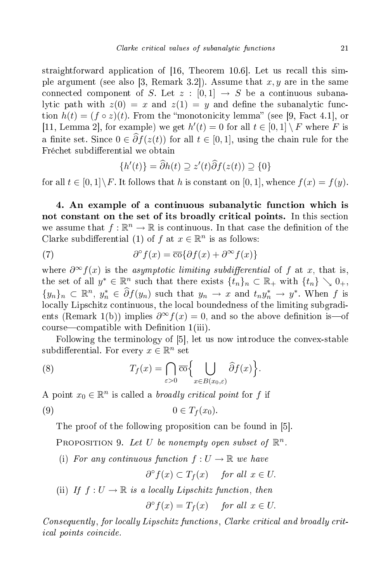straightforward application of  $[16,$  Theorem 10.6. Let us recall this simple argument (see also [3, Remark 3.2]). Assume that  $x, y$  are in the same connected component of S. Let  $z : [0,1] \rightarrow S$  be a continuous subanalytic path with  $z(0) = x$  and  $z(1) = y$  and define the subanalytic function  $h(t) = (f \circ z)(t)$ . From the "monotonicity lemma" (see [9, Fact 4.1], or [11, Lemma 2], for example) we get  $h'(t) = 0$  for all  $t \in [0,1] \setminus F$  where F is a finite set. Since  $0 \in \widehat{\partial} f(z(t))$  for all  $t \in [0, 1]$ , using the chain rule for the Fréchet subdifferential we obtain

$$
\{h'(t)\} = \widehat{\partial}h(t) \supseteq z'(t)\widehat{\partial}f(z(t)) \supseteq \{0\}
$$

for all  $t \in [0,1] \backslash F$ . It follows that h is constant on [0, 1], whence  $f(x) = f(y)$ .

4. An example of a ontinuous subanalyti fun
tion whi
h is not constant on the set of its broadly critical points. In this section we assume that  $f: \mathbb{R}^n \to \mathbb{R}$  is continuous. In that case the definition of the Clarke subdifferential (1) of f at  $x \in \mathbb{R}^n$  is as follows:

(7) 
$$
\partial^{\circ} f(x) = \overline{\text{co}} \{ \partial f(x) + \partial^{\infty} f(x) \}
$$

where  $\partial^{\infty} f(x)$  is the *asymptotic limiting subdifferential* of f at x, that is, the set of all  $y^* \in \mathbb{R}^n$  such that there exists  $\{t_n\}_n \subset \mathbb{R}_+$  with  $\{t_n\} \searrow 0_+$ ,  ${y_n}_n \subset \mathbb{R}^n$ ,  $y_n^* \in \hat{\partial}f(y_n)$  such that  $y_n \to x$  and  $t_ny_n^* \to y^*$ . When f is lo
ally Lips
hitz ontinuous, the lo
al boundedness of the limiting subgradients (Remark 1(b)) implies  $\partial^{\infty} f(x) = 0$ , and so the above definition is—of course—compatible with Definition 1(iii).

Following the terminology of [5], let us now introduce the convex-stable subdifferential. For every  $x \in \mathbb{R}^n$  set

(8) 
$$
T_f(x) = \bigcap_{\varepsilon > 0} \overline{\mathrm{co}} \Biggl\{ \bigcup_{x \in B(x_0, \varepsilon)} \widehat{\partial} f(x) \Biggr\}.
$$

A point  $x_0 \in \mathbb{R}^n$  is called a *broadly critical point* for f if

$$
(9) \t\t 0 \in T_f(x_0).
$$

The proof of the following proposition can be found in [5].

PROPOSITION 9. Let U be nonempty open subset of  $\mathbb{R}^n$ .

(i) For any continuous function  $f: U \to \mathbb{R}$  we have

 $\partial^{\circ} f(x) \subset T_f(x)$  for all  $x \in U$ .

(ii) If  $f: U \to \mathbb{R}$  is a locally Lipschitz function, then

$$
\partial^{\circ} f(x) = T_f(x) \quad \text{ for all } x \in U.
$$

Consequently , for lo
al ly Lips
hitz fun
tions , Clarke riti
al and broad ly riti
al points oin
ide.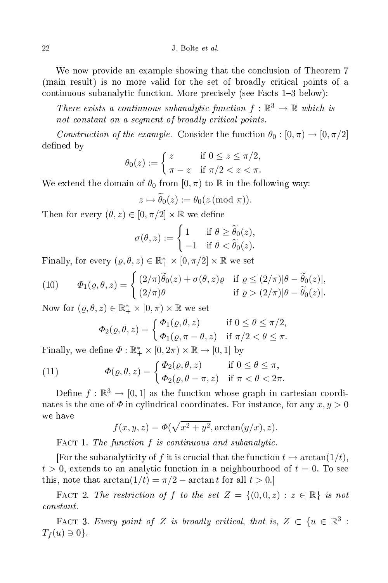We now provide an example showing that the conclusion of Theorem 7 (main result) is no more valid for the set of broadly riti
al points of a continuous subanalytic function. More precisely (see Facts 1–3 below):

There exists a continuous subanalytic function  $f : \mathbb{R}^3 \to \mathbb{R}$  which is not broad ly broad ly broad ly broad ly broad ly broad ly broad ly broad ly broad ly broad ly broad ly broad l

Construction of the example. Consider the function  $\theta_0 : [0, \pi) \to [0, \pi/2]$ defined by

$$
\theta_0(z) := \begin{cases} z & \text{if } 0 \le z \le \pi/2, \\ \pi - z & \text{if } \pi/2 < z < \pi. \end{cases}
$$

We extend the domain of  $\theta_0$  from  $[0, \pi)$  to R in the following way:

$$
z \mapsto \widetilde{\theta}_0(z) := \theta_0(z \pmod{\pi}).
$$

Then for every  $(\theta, z) \in [0, \pi/2] \times \mathbb{R}$  we define

$$
\sigma(\theta, z) := \begin{cases} 1 & \text{if } \theta \ge \widetilde{\theta}_0(z), \\ -1 & \text{if } \theta < \widetilde{\theta}_0(z). \end{cases}
$$

Finally, for every  $(\varrho, \theta, z) \in \mathbb{R}_+^* \times [0, \pi/2] \times \mathbb{R}$  we set

(10) 
$$
\Phi_1(\varrho, \theta, z) = \begin{cases} (2/\pi)\widetilde{\theta}_0(z) + \sigma(\theta, z)\varrho & \text{if } \varrho \le (2/\pi)|\theta - \widetilde{\theta}_0(z)|, \\ (2/\pi)\theta & \text{if } \varrho > (2/\pi)|\theta - \widetilde{\theta}_0(z)|. \end{cases}
$$

Now for  $(\varrho, \theta, z) \in \mathbb{R}_+^* \times [0, \pi) \times \mathbb{R}$  we set

$$
\Phi_2(\varrho, \theta, z) = \begin{cases} \Phi_1(\varrho, \theta, z) & \text{if } 0 \le \theta \le \pi/2, \\ \Phi_1(\varrho, \pi - \theta, z) & \text{if } \pi/2 < \theta \le \pi. \end{cases}
$$

Finally, we define  $\Phi : \mathbb{R}_+^* \times [0, 2\pi) \times \mathbb{R} \to [0, 1]$  by

(11) 
$$
\Phi(\varrho, \theta, z) = \begin{cases} \Phi_2(\varrho, \theta, z) & \text{if } 0 \leq \theta \leq \pi, \\ \Phi_2(\varrho, \theta - \pi, z) & \text{if } \pi < \theta < 2\pi. \end{cases}
$$

Define  $f: \mathbb{R}^3 \to [0,1]$  as the function whose graph in cartesian coordinates is the one of  $\Phi$  in cylindrical coordinates. For instance, for any  $x, y > 0$ we have

$$
f(x, y, z) = \Phi(\sqrt{x^2 + y^2}, \arctan(y/x), z).
$$

FACT 1. The function f is continuous and subanalytic.

For the subanalyticity of f it is crucial that the function  $t \mapsto \arctan(1/t)$ ,  $t > 0$ , extends to an analytic function in a neighbourhood of  $t = 0$ . To see this, note that  $\arctan(1/t) = \pi/2 - \arctan t$  for all  $t > 0$ .

FACT 2. The restriction of f to the set  $Z = \{(0,0,z) : z \in \mathbb{R}\}\$ is not

FACT 3. Every point of Z is broadly critical, that is,  $Z \subset \{u \in \mathbb{R}^3 :$  $T_f(u) \ni 0$ .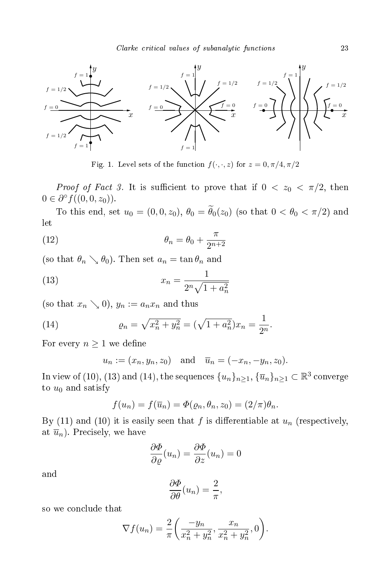

Fig. 1. Level sets of the function  $f(\cdot, \cdot, z)$  for  $z = 0, \pi/4, \pi/2$ 

*Proof of Fact 3.* It is sufficient to prove that if  $0 < z_0 < \pi/2$ , then  $0 \in \partial^{\circ} f((0,0,z_0)).$ 

To this end, set  $u_0 = (0, 0, z_0)$ ,  $\theta_0 = \widetilde{\theta}_0(z_0)$  (so that  $0 < \theta_0 < \pi/2$ ) and let

(12) 
$$
\theta_n = \theta_0 + \frac{\pi}{2^{n+2}}
$$

(so that  $\theta_n \searrow \theta_0$ ). Then set  $a_n = \tan \theta_n$  and

(13) 
$$
x_n = \frac{1}{2^n \sqrt{1 + a_n^2}}
$$

(so that  $x_n \searrow 0$ ),  $y_n := a_n x_n$  and thus

(14) 
$$
\varrho_n = \sqrt{x_n^2 + y_n^2} = (\sqrt{1 + a_n^2})x_n = \frac{1}{2^n}.
$$

For every  $n \geq 1$  we define

$$
u_n := (x_n, y_n, z_0)
$$
 and  $\overline{u}_n = (-x_n, -y_n, z_0)$ .

In view of (10), (13) and (14), the sequences  $\{u_n\}_{n\geq 1},$   $\{\overline{u}_n\}_{n\geq 1}\subset \mathbb{R}^3$  converge to  $u_0$  and satisfy

$$
f(u_n) = f(\overline{u}_n) = \Phi(\varrho_n, \theta_n, z_0) = (2/\pi)\theta_n.
$$

By (11) and (10) it is easily seen that f is differentiable at  $u_n$  (respectively, at  $\overline{u}_n$ ). Precisely, we have

$$
\frac{\partial \Phi}{\partial \varrho}(u_n) = \frac{\partial \Phi}{\partial z}(u_n) = 0
$$

and

$$
\frac{\partial \Phi}{\partial \theta}(u_n) = \frac{2}{\pi},
$$

so we on
lude that

$$
\nabla f(u_n) = \frac{2}{\pi} \left( \frac{-y_n}{x_n^2 + y_n^2}, \frac{x_n}{x_n^2 + y_n^2}, 0 \right).
$$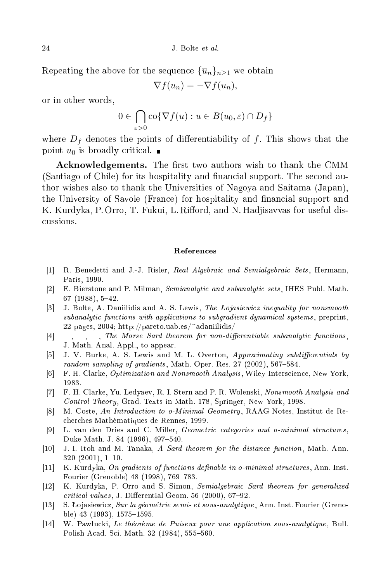Repeating the above for the sequence  ${\overline{u}_n}_{n>1}$  we obtain

 $\nabla f(\overline{u}_n) = -\nabla f(u_n),$ 

or in other words,

$$
0 \in \bigcap_{\varepsilon > 0} \text{co}\{\nabla f(u) : u \in B(u_0, \varepsilon) \cap D_f\}
$$

where  $D_f$  denotes the points of differentiability of f. This shows that the point  $u_0$  is broadly critical.

Acknowledgements. The first two authors wish to thank the CMM (Santiago of Chile) for its hospitality and financial support. The second author wishes also to thank the Universities of Nagoya and Saitama (Japan), the University of Savoie (France) for hospitality and financial support and K. Kurdyka, P. Orro, T. Fukui, L. Rifford, and N. Hadjisavvas for useful disussions.

## **References**

- [1] R. Benedetti and J.-J. Risler, Real Algebraic and Semialgebraic Sets, Hermann, Paris, 1990.
- [2] E. Bierstone and P. Milman, Semianalytic and subanalytic sets, IHES Publ. Math.  $67$   $(1988)$ ,  $5-42$ .
- [3] J. Bolte, A. Daniilidis and A. S. Lewis, The Lojasiewicz inequality for nonsmooth subanalytic functions with applications to subgradient dynamical systems, preprint, 22 pages, 2004; http://pareto.uab.es/~adaniilidis/
- $[4] \quad , \quad \_ , \quad \_ ,$  The Morse-Sard theorem for non-differentiable subanalytic functions, J. Math. Anal. Appl., to appear.
- [5] J. V. Burke, A. S. Lewis and M. L. Overton, Approximating subdifferentials by random sampling of gradients, Math. Oper. Res. 27 (2002), 567-584.
- [6] F. H. Clarke, *Optimization and Nonsmooth Analysis*, Wiley-Interscience, New York, 1983.
- [7] F. H. Clarke, Yu. Ledyaev, R. I. Stern and P. R. Wolenski, Nonsmooth Analysis and Control Theory, Grad. Texts in Math. 178, Springer, New York, 1998.
- [8] M. Coste, An Introduction to o-Minimal Geometry, RAAG Notes, Institut de Reher
hes Mathématiques de Rennes, 1999.
- [9] L. van den Dries and C. Miller, *Geometric categories and o-minimal structures*, Duke Math. J. 84 (1996), 497-540.
- [10] J.-I. Itoh and M. Tanaka, A Sard theorem for the distance function, Math. Ann.  $320(2001), 1-10.$
- [11] K. Kurdyka, On gradients of functions definable in o-minimal structures, Ann. Inst. Fourier (Grenoble) 48 (1998), 769-783.
- [12] K. Kurdyka, P. Orro and S. Simon, Semialgebraic Sard theorem for generalized  $critical \ values$ , J. Differential Geom. 56 (2000), 67-92.
- [13] S. Lojasiewicz, Sur la géométrie semi- et sous-analytique, Ann. Inst. Fourier (Grenoble)  $43$  (1993),  $1575-1595$ .
- [14] W. Pawłucki, Le théorème de Puiseux pour une application sous-analytique, Bull. Polish Acad. Sci. Math. 32 (1984), 555-560.